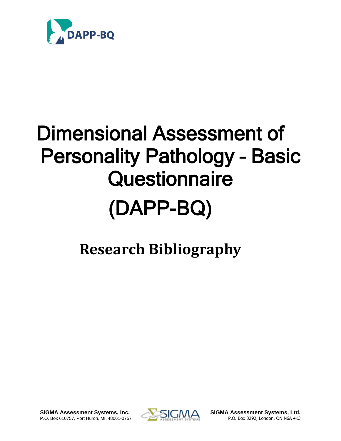

## Dimensional Assessment of Personality Pathology – Basic **Questionnaire** (DAPP-BQ)

## **Research Bibliography**

**SIGMA Assessment Systems, Inc. SIGMA Assessment Systems, Ltd.** P.O. Box 610757, Port Huron, MI, 48061-0757 **P.O. Box 3292, London, ON N6A 4K3** 

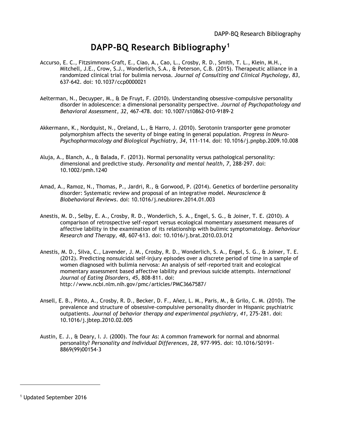## **DAPP-BQ Research Bibliography<sup>1</sup>**

- Accurso, E. C., Fitzsimmons-Craft, E., Ciao, A., Cao, L., Crosby, R. D., Smith, T. L., Klein, M.H., Mitchell, J.E., Crow, S.J., Wonderlich, S.A., & Peterson, C.B. (2015). Therapeutic alliance in a randomized clinical trial for bulimia nervosa. *Journal of Consulting and Clinical Psychology, 83*, 637-642. doi: 10.1037/ccp0000021
- Aelterman, N., Decuyper, M., & De Fruyt, F. (2010). Understanding obsessive-compulsive personality disorder in adolescence: a dimensional personality perspective. *Journal of Psychopathology and Behavioral Assessment, 32*, 467-478. doi: 10.1007/s10862-010-9189-2
- Akkermann, K., Nordquist, N., Oreland, L., & Harro, J. (2010). Serotonin transporter gene promoter polymorphism affects the severity of binge eating in general population. *Progress in Neuro-Psychopharmacology and Biological Psychiatry, 34*, 111-114. doi: 10.1016/j.pnpbp.2009.10.008
- Aluja, A., Blanch, A., & Balada, F. (2013). Normal personality versus pathological personality: dimensional and predictive study. *Personality and mental health, 7*, 288-297. doi: 10.1002/pmh.1240
- Amad, A., Ramoz, N., Thomas, P., Jardri, R., & Gorwood, P. (2014). Genetics of borderline personality disorder: Systematic review and proposal of an integrative model. *Neuroscience & Biobehavioral Reviews*. doi: 10.1016/j.neubiorev.2014.01.003
- Anestis, M. D., Selby, E. A., Crosby, R. D., Wonderlich, S. A., Engel, S. G., & Joiner, T. E. (2010). A comparison of retrospective self-report versus ecological momentary assessment measures of affective lability in the examination of its relationship with bulimic symptomatology. *Behaviour Research and Therapy, 48,* 607-613. doi: 10.1016/j.brat.2010.03.012
- Anestis, M. D., Silva, C., Lavender, J. M., Crosby, R. D., Wonderlich, S. A., Engel, S. G., & Joiner, T. E. (2012). Predicting nonsuicidal self‐injury episodes over a discrete period of time in a sample of women diagnosed with bulimia nervosa: An analysis of self‐reported trait and ecological momentary assessment based affective lability and previous suicide attempts. *International Journal of Eating Disorders, 45,* 808-811. doi: http://www.ncbi.nlm.nih.gov/pmc/articles/PMC3667587/
- Ansell, E. B., Pinto, A., Crosby, R. D., Becker, D. F., Añez, L. M., Paris, M., & Grilo, C. M. (2010). The prevalence and structure of obsessive-compulsive personality disorder in Hispanic psychiatric outpatients. *Journal of behavior therapy and experimental psychiatry, 41*, 275-281. doi: 10.1016/j.jbtep.2010.02.005
- Austin, E. J., & Deary, I. J. (2000). The four As: A common framework for normal and abnormal personality? *Personality and Individual Differences, 28,* 977-995. doi: 10.1016/S0191- 8869(99)00154-3

<sup>1</sup> Updated September 2016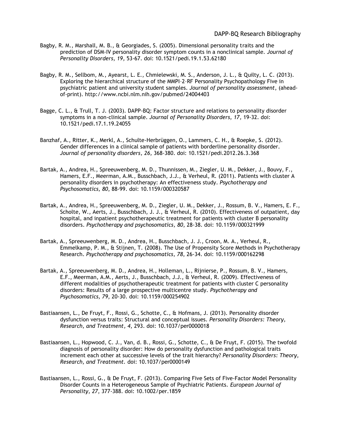- Bagby, R. M., Marshall, M. B., & Georgiades, S. (2005). Dimensional personality traits and the prediction of DSM-IV personality disorder symptom counts in a nonclinical sample. *Journal of Personality Disorders, 19,* 53-67. doi: 10.1521/pedi.19.1.53.62180
- Bagby, R. M., Sellbom, M., Ayearst, L. E., Chmielewski, M. S., Anderson, J. L., & Quilty, L. C. (2013). Exploring the hierarchical structure of the MMPI–2–RF Personality Psychopathology Five in psychiatric patient and university student samples. *Journal of personality assessment*, (aheadof-print). http://www.ncbi.nlm.nih.gov/pubmed/24004403
- Bagge, C. L., & Trull, T. J. (2003). DAPP-BQ: Factor structure and relations to personality disorder symptoms in a non-clinical sample. *Journal of Personality Disorders, 17,* 19-32. doi: 10.1521/pedi.17.1.19.24055
- Banzhaf, A., Ritter, K., Merkl, A., Schulte-Herbrüggen, O., Lammers, C. H., & Roepke, S. (2012). Gender differences in a clinical sample of patients with borderline personality disorder. *Journal of personality disorders, 26,* 368-380. doi: 10.1521/pedi.2012.26.3.368
- Bartak, A., Andrea, H., Spreeuwenberg, M. D., Thunnissen, M., Ziegler, U. M., Dekker, J., Bouvy, F., Hamers, E.F., Meerman, A.M., Busschbach, J.J., & Verheul, R. (2011). Patients with cluster A personality disorders in psychotherapy: An effectiveness study. *Psychotherapy and Psychosomatics, 80*, 88-99. doi: 10.1159/000320587
- Bartak, A., Andrea, H., Spreeuwenberg, M. D., Ziegler, U. M., Dekker, J., Rossum, B. V., Hamers, E. F., Scholte, W., Aerts, J., Busschbach, J. J., & Verheul, R. (2010). Effectiveness of outpatient, day hospital, and inpatient psychotherapeutic treatment for patients with cluster B personality disorders. *Psychotherapy and psychosomatics, 80*, 28-38. doi: 10.1159/000321999
- Bartak, A., Spreeuwenberg, M. D., Andrea, H., Busschbach, J. J., Croon, M. A., Verheul, R., Emmelkamp, P. M., & Stijnen, T. (2008). The Use of Propensity Score Methods in Psychotherapy Research. *Psychotherapy and psychosomatics, 78*, 26-34. doi: 10.1159/000162298
- Bartak, A., Spreeuwenberg, M. D., Andrea, H., Holleman, L., Rijnierse, P., Rossum, B. V., Hamers, E.F., Meerman, A.M., Aerts, J., Busschbach, J.J., & Verheul, R. (2009). Effectiveness of different modalities of psychotherapeutic treatment for patients with cluster C personality disorders: Results of a large prospective multicentre study. *Psychotherapy and Psychosomatics, 79*, 20-30. doi: 10.1159/000254902
- Bastiaansen, L., De Fruyt, F., Rossi, G., Schotte, C., & Hofmans, J. (2013). Personality disorder dysfunction versus traits: Structural and conceptual issues. *Personality Disorders: Theory, Research, and Treatment, 4*, 293. doi: 10.1037/per0000018
- Bastiaansen, L., Hopwood, C. J., Van, d. B., Rossi, G., Schotte, C., & De Fruyt, F. (2015). The twofold diagnosis of personality disorder: How do personality dysfunction and pathological traits increment each other at successive levels of the trait hierarchy? *Personality Disorders: Theory, Research, and Treatment.* doi: 10.1037/per0000149
- Bastiaansen, L., Rossi, G., & De Fruyt, F. (2013). Comparing Five Sets of Five‐Factor Model Personality Disorder Counts in a Heterogeneous Sample of Psychiatric Patients. *European Journal of Personality, 27*, 377-388. doi: 10.1002/per.1859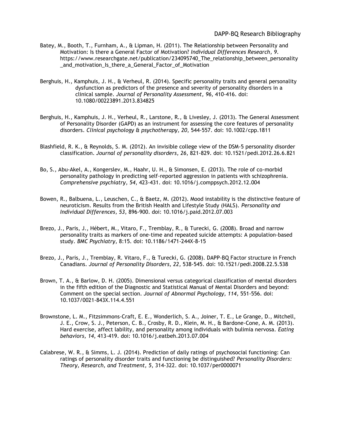- Batey, M., Booth, T., Furnham, A., & Lipman, H. (2011). The Relationship between Personality and Motivation: Is there a General Factor of Motivation? *Individual Differences Research, 9*. https://www.researchgate.net/publication/234095740\_The\_relationship\_between\_personality \_and\_motivation\_Is\_there\_a\_General\_Factor\_of\_Motivation
- Berghuis, H., Kamphuis, J. H., & Verheul, R. (2014). Specific personality traits and general personality dysfunction as predictors of the presence and severity of personality disorders in a clinical sample. *Journal of Personality Assessment, 96,* 410-416. doi: 10.1080/00223891.2013.834825
- Berghuis, H., Kamphuis, J. H., Verheul, R., Larstone, R., & Livesley, J. (2013). The General Assessment of Personality Disorder (GAPD) as an instrument for assessing the core features of personality disorders. *Clinical psychology & psychotherapy, 20*, 544-557. doi: 10.1002/cpp.1811
- Blashfield, R. K., & Reynolds, S. M. (2012). An invisible college view of the DSM-5 personality disorder classification. *Journal of personality disorders, 26*, 821-829. doi: 10.1521/pedi.2012.26.6.821
- Bo, S., Abu-Akel, A., Kongerslev, M., Haahr, U. H., & Simonsen, E. (2013). The role of co-morbid personality pathology in predicting self-reported aggression in patients with schizophrenia. *Comprehensive psychiatry, 54*, 423-431. doi: 10.1016/j.comppsych.2012.12.004
- Bowen, R., Balbuena, L., Leuschen, C., & Baetz, M. (2012). Mood instability is the distinctive feature of neuroticism. Results from the British Health and Lifestyle Study (HALS). *Personality and Individual Differences, 53*, 896-900. doi: 10.1016/j.paid.2012.07.003
- Brezo, J., Paris, J., Hébert, M., Vitaro, F., Tremblay, R., & Turecki, G. (2008). Broad and narrow personality traits as markers of one-time and repeated suicide attempts: A population-based study. *BMC Psychiatry,* 8:15*.* doi: 10.1186/1471-244X-8-15
- Brezo, J., Paris, J., Tremblay, R. Vitaro, F., & Turecki, G. (2008). DAPP-BQ Factor structure in French Canadians. *Journal of Personality Disorders, 22,* 538-545. doi: 10.1521/pedi.2008.22.5.538
- Brown, T. A., & Barlow, D. H. (2005). Dimensional versus categorical classification of mental disorders in the fifth edition of the Diagnostic and Statistical Manual of Mental Disorders and beyond: Comment on the special section. *Journal of Abnormal Psychology, 114,* 551-556. doi: 10.1037/0021-843X.114.4.551
- Brownstone, L. M., Fitzsimmons-Craft, E. E., Wonderlich, S. A., Joiner, T. E., Le Grange, D., Mitchell, J. E., Crow, S. J., Peterson, C. B., Crosby, R. D., Klein, M. H., & Bardone-Cone, A. M. (2013). Hard exercise, affect lability, and personality among individuals with bulimia nervosa. *Eating behaviors, 14*, 413-419. doi: 10.1016/j.eatbeh.2013.07.004
- Calabrese, W. R., & Simms, L. J. (2014). Prediction of daily ratings of psychosocial functioning: Can ratings of personality disorder traits and functioning be distinguished? *Personality Disorders: Theory, Research, and Treatment, 5*, 314-322. doi: 10.1037/per0000071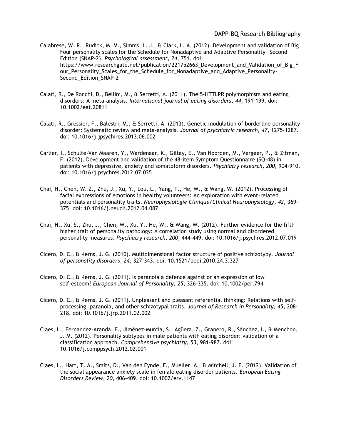Calabrese, W. R., Rudick, M. M., Simms, L. J., & Clark, L. A. (2012). Development and validation of Big Four personality scales for the Schedule for Nonadaptive and Adaptive Personality—Second Edition (SNAP-2). *Psychological assessment, 24*, 751. doi: https://www.researchgate.net/publication/221752663\_Development\_and\_Validation\_of\_Big\_F our Personality Scales for the Schedule for Nonadaptive and Adaptive Personality-Second Edition SNAP-2

- Calati, R., De Ronchi, D., Bellini, M., & Serretti, A. (2011). The 5‐HTTLPR polymorphism and eating disorders: A meta‐analysis. *International journal of eating disorders, 44*, 191-199. doi: 10.1002/eat.20811
- Calati, R., Gressier, F., Balestri, M., & Serretti, A. (2013). Genetic modulation of borderline personality disorder: Systematic review and meta-analysis. *Journal of psychiatric research, 47*, 1275-1287. doi: 10.1016/j.jpsychires.2013.06.002
- Carlier, I., Schulte-Van Maaren, Y., Wardenaar, K., Giltay, E., Van Noorden, M., Vergeer, P., & Zitman, F. (2012). Development and validation of the 48-item Symptom Questionnaire (SQ-48) in patients with depressive, anxiety and somatoform disorders. *Psychiatry research, 200*, 904-910. doi: 10.1016/j.psychres.2012.07.035
- Chai, H., Chen, W. Z., Zhu, J., Xu, Y., Lou, L., Yang, T., He, W., & Wang, W. (2012). Processing of facial expressions of emotions in healthy volunteers: An exploration with event-related potentials and personality traits. *Neurophysiologie Clinique/Clinical Neurophysiology, 42*, 369- 375. doi: 10.1016/j.neucli.2012.04.087
- Chai, H., Xu, S., Zhu, J., Chen, W., Xu, Y., He, W., & Wang, W. (2012). Further evidence for the fifth higher trait of personality pathology: A correlation study using normal and disordered personality measures. *Psychiatry research, 200*, 444-449. doi: 10.1016/j.psychres.2012.07.019
- Cicero, D. C., & Kerns, J. G. (2010). Multidimensional factor structure of positive schizotypy. *Journal of personality disorders, 24*, 327-343. doi: 10.1521/pedi.2010.24.3.327
- Cicero, D. C., & Kerns, J. G. (2011). Is paranoia a defence against or an expression of low self‐esteem? *European Journal of Personality, 25,* 326-335. doi: 10.1002/per.794
- Cicero, D. C., & Kerns, J. G. (2011). Unpleasant and pleasant referential thinking: Relations with selfprocessing, paranoia, and other schizotypal traits. *Journal of Research in Personality, 45*, 208- 218. doi: 10.1016/j.jrp.2011.02.002
- Claes, L., Fernandez-Aranda, F., Jiménez-Murcia, S., Agüera, Z., Granero, R., Sánchez, I., & Menchón, J. M. (2012). Personality subtypes in male patients with eating disorder: validation of a classification approach. *Comprehensive psychiatry, 53*, 981-987. doi: 10.1016/j.comppsych.2012.02.001
- Claes, L., Hart, T. A., Smits, D., Van den Eynde, F., Mueller, A., & Mitchell, J. E. (2012). Validation of the social appearance anxiety scale in female eating disorder patients*. European Eating Disorders Review, 20*, 406-409. doi: 10.1002/erv.1147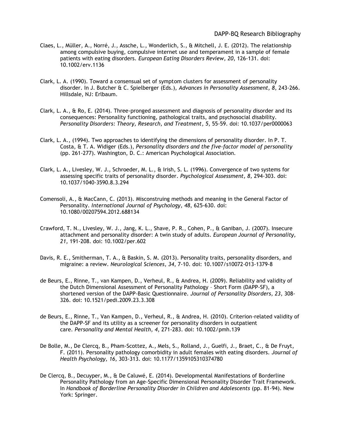- Claes, L., Müller, A., Norré, J., Assche, L., Wonderlich, S., & Mitchell, J. E. (2012). The relationship among compulsive buying, compulsive internet use and temperament in a sample of female patients with eating disorders. *European Eating Disorders Review, 20*, 126-131. doi: 10.1002/erv.1136
- Clark, L. A. (1990). Toward a consensual set of symptom clusters for assessment of personality disorder. In J. Butcher & C. Spielberger (Eds.), *Advances in Personality Assessment, 8,* 243-266. Hillsdale, NJ: Erlbaum.
- Clark, L. A., & Ro, E. (2014). Three-pronged assessment and diagnosis of personality disorder and its consequences: Personality functioning, pathological traits, and psychosocial disability. *Personality Disorders: Theory, Research, and Treatment, 5*, 55-59. doi: 10.1037/per0000063
- Clark, L. A., (1994). Two approaches to identifying the dimensions of personality disorder. In P. T. Costa, & T. A. Widiger (Eds.), *Personality disorders and the five-factor model of personality* (pp. 261-277). Washington, D. C.: American Psychological Association.
- Clark, L. A., Livesley, W. J., Schroeder, M. L., & Irish, S. L. (1996). Convergence of two systems for assessing specific traits of personality disorder. *Psychological Assessment, 8,* 294-303. doi: 10.1037/1040-3590.8.3.294
- Comensoli, A., & MacCann, C. (2013). Misconstruing methods and meaning in the General Factor of Personality. *International Journal of Psychology, 48*, 625-630. doi: 10.1080/00207594.2012.688134
- Crawford, T. N., Livesley, W. J., Jang, K. L., Shave, P. R., Cohen, P., & Ganiban, J. (2007). Insecure attachment and personality disorder: A twin study of adults. *European Journal of Personality, 21,* 191-208. doi: 10.1002/per.602
- Davis, R. E., Smitherman, T. A., & Baskin, S. M. (2013). Personality traits, personality disorders, and migraine: a review. *Neurological Sciences, 34*, 7-10. doi: 10.1007/s10072-013-1379-8
- de Beurs, E., Rinne, T., van Kampen, D., Verheul, R., & Andrea, H. (2009). Reliability and validity of the Dutch Dimensional Assessment of Personality Pathology – Short Form (DAPP-SF), a shortened version of the DAPP-Basic Questionnaire. *Journal of Personality Disorders, 23,* 308- 326. doi: 10.1521/pedi.2009.23.3.308
- de Beurs, E., Rinne, T., Van Kampen, D., Verheul, R., & Andrea, H. (2010). Criterion-related validity of the DAPP-SF and its utility as a screener for personality disorders in outpatient care. *Personality and Mental Health, 4*, 271-283. doi: 10.1002/pmh.139
- De Bolle, M., De Clercq, B., Pham-Scottez, A., Mels, S., Rolland, J., Guelfi, J., Braet, C., & De Fruyt, F. (2011). Personality pathology comorbidity in adult females with eating disorders. *Journal of Health Psychology, 16,* 303-313. doi: 10.1177/1359105310374780
- De Clercq, B., Decuyper, M., & De Caluwé, E. (2014). Developmental Manifestations of Borderline Personality Pathology from an Age-Specific Dimensional Personality Disorder Trait Framework. In *Handbook of Borderline Personality Disorder in Children and Adolescents* (pp. 81-94). New York: Springer.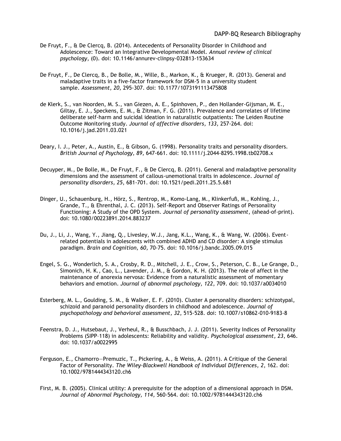- De Fruyt, F., & De Clercq, B. (2014). Antecedents of Personality Disorder in Childhood and Adolescence: Toward an Integrative Developmental Model. *Annual review of clinical psychology*, (0). doi: 10.1146/annurev-clinpsy-032813-153634
- De Fruyt, F., De Clercq, B., De Bolle, M., Wille, B., Markon, K., & Krueger, R. (2013). General and maladaptive traits in a five-factor framework for DSM-5 in a university student sample. *Assessment, 20,* 295-307. doi: 10.1177/1073191113475808
- de Klerk, S., van Noorden, M. S., van Giezen, A. E., Spinhoven, P., den Hollander-Gijsman, M. E., Giltay, E. J., Speckens, E. M., & Zitman, F. G. (2011). Prevalence and correlates of lifetime deliberate self-harm and suicidal ideation in naturalistic outpatients: The Leiden Routine Outcome Monitoring study. *Journal of affective disorders, 133,* 257-264. doi: 10.1016/j.jad.2011.03.021
- Deary, I. J., Peter, A., Austin, E., & Gibson, G. (1998). Personality traits and personality disorders. *British Journal of Psychology, 89,* 647-661. doi: 10.1111/j.2044-8295.1998.tb02708.x
- Decuyper, M., De Bolle, M., De Fruyt, F., & De Clercq, B. (2011). General and maladaptive personality dimensions and the assessment of callous-unemotional traits in adolescence. *Journal of personality disorders, 25*, 681-701. doi: 10.1521/pedi.2011.25.5.681
- Dinger, U., Schauenburg, H., Hörz, S., Rentrop, M., Komo-Lang, M., Klinkerfuß, M., Kohling, J., Grande, T., & Ehrenthal, J. C. (2013). Self-Report and Observer Ratings of Personality Functioning: A Study of the OPD System. *Journal of personality assessment*, (ahead-of-print). doi: 10.1080/00223891.2014.883237
- Du, J., Li, J., Wang, Y., Jiang, Q., Livesley, W.J., Jang, K.L., Wang, K., & Wang, W. (2006). Eventrelated potentials in adolescents with combined ADHD and CD disorder: A single stimulus paradigm. *Brain and Cognition, 60,* 70-75. doi: 10.1016/j.bandc.2005.09.015
- Engel, S. G., Wonderlich, S. A., Crosby, R. D., Mitchell, J. E., Crow, S., Peterson, C. B., Le Grange, D., Simonich, H. K., Cao, L., Lavender, J. M., & Gordon, K. H. (2013). The role of affect in the maintenance of anorexia nervosa: Evidence from a naturalistic assessment of momentary behaviors and emotion. *Journal of abnormal psychology, 122*, 709. doi: 10.1037/a0034010
- Esterberg, M. L., Goulding, S. M., & Walker, E. F. (2010). Cluster A personality disorders: schizotypal, schizoid and paranoid personality disorders in childhood and adolescence. *Journal of psychopathology and behavioral assessment, 32*, 515-528. doi: 10.1007/s10862-010-9183-8
- Feenstra, D. J., Hutsebaut, J., Verheul, R., & Busschbach, J. J. (2011). Severity Indices of Personality Problems (SIPP–118) in adolescents: Reliability and validity. *Psychological assessment, 23*, 646. doi: 10.1037/a0022995
- Ferguson, E., Chamorro—Premuzic, T., Pickering, A., & Weiss, A. (2011). A Critique of the General Factor of Personality. *The Wiley-Blackwell Handbook of Individual Differences, 2*, 162. doi: 10.1002/9781444343120.ch6
- First, M. B. (2005). Clinical utility: A prerequisite for the adoption of a dimensional approach in DSM. *Journal of Abnormal Psychology, 114,* 560-564. doi: 10.1002/9781444343120.ch6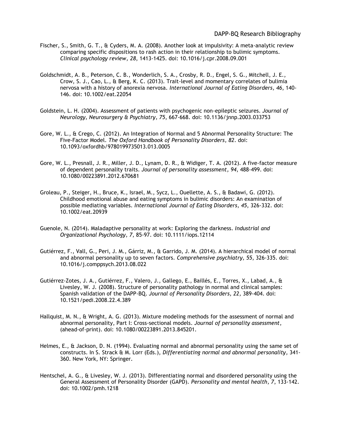- Fischer, S., Smith, G. T., & Cyders, M. A. (2008). Another look at impulsivity: A meta-analytic review comparing specific dispositions to rash action in their relationship to bulimic symptoms. *Clinical psychology review, 28*, 1413-1425. doi: 10.1016/j.cpr.2008.09.001
- Goldschmidt, A. B., Peterson, C. B., Wonderlich, S. A., Crosby, R. D., Engel, S. G., Mitchell, J. E., Crow, S. J., Cao, L., & Berg, K. C. (2013). Trait‐level and momentary correlates of bulimia nervosa with a history of anorexia nervosa. *International Journal of Eating Disorders, 46*, 140- 146. doi: 10.1002/eat.22054
- Goldstein, L. H. (2004). Assessment of patients with psychogenic non-epileptic seizures. *Journal of Neurology, Neurosurgery & Psychiatry, 75*, 667-668. doi: 10.1136/jnnp.2003.033753
- Gore, W. L., & Crego, C. (2012). An Integration of Normal and 5 Abnormal Personality Structure: The Five-Factor Model. *The Oxford Handbook of Personality Disorders, 82*. doi: 10.1093/oxfordhb/9780199735013.013.0005
- Gore, W. L., Presnall, J. R., Miller, J. D., Lynam, D. R., & Widiger, T. A. (2012). A five-factor measure of dependent personality traits. *Journal of personality assessment, 94*, 488-499. doi: 10.1080/00223891.2012.670681
- Groleau, P., Steiger, H., Bruce, K., Israel, M., Sycz, L., Ouellette, A. S., & Badawi, G. (2012). Childhood emotional abuse and eating symptoms in bulimic disorders: An examination of possible mediating variables. *International Journal of Eating Disorders, 45*, 326-332. doi: 10.1002/eat.20939
- Guenole, N. (2014). Maladaptive personality at work: Exploring the darkness. *Industrial and Organizational Psychology, 7*, 85-97. doi: 10.1111/iops.12114
- Gutiérrez, F., Vall, G., Peri, J. M., Gárriz, M., & Garrido, J. M. (2014). A hierarchical model of normal and abnormal personality up to seven factors. *Comprehensive psychiatry, 55*, 326-335. doi: 10.1016/j.comppsych.2013.08.022
- Gutiérrez-Zotes, J. A., Gutiérrez, F., Valero, J., Gallego, E., Baillés, E., Torres, X., Labad, A., & Livesley, W. J. (2008). Structure of personality pathology in normal and clinical samples: Spanish validation of the DAPP-BQ. *Journal of Personality Disorders, 22,* 389-404. doi: 10.1521/pedi.2008.22.4.389
- Hallquist, M. N., & Wright, A. G. (2013). Mixture modeling methods for the assessment of normal and abnormal personality, Part I: Cross-sectional models. *Journal of personality assessment*, (ahead-of-print). doi: 10.1080/00223891.2013.845201.
- Helmes, E., & Jackson, D. N. (1994). Evaluating normal and abnormal personality using the same set of constructs. In S. Strack & M. Lorr (Eds.), *Differentiating normal and abnormal personality,* 341- 360. New York, NY: Springer.
- Hentschel, A. G., & Livesley, W. J. (2013). Differentiating normal and disordered personality using the General Assessment of Personality Disorder (GAPD). *Personality and mental health, 7*, 133-142. doi: 10.1002/pmh.1218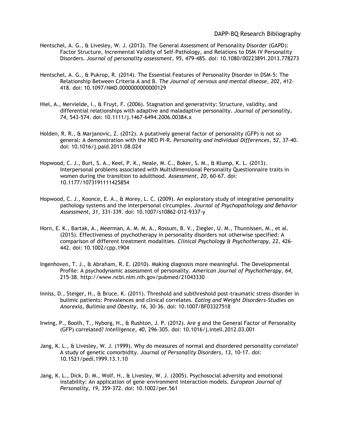- Hentschel, A. G., & Livesley, W. J. (2013). The General Assessment of Personality Disorder (GAPD): Factor Structure, Incremental Validity of Self-Pathology, and Relations to DSM–IV Personality Disorders. *Journal of personality assessment, 95*, 479-485. doi: 10.1080/00223891.2013.778273
- Hentschel, A. G., & Pukrop, R. (2014). The Essential Features of Personality Disorder in DSM-5: The Relationship Between Criteria A and B. *The Journal of nervous and mental disease, 202*, 412- 418. doi: 10.1097/NMD.0000000000000129
- Hiel, A., Mervielde, I., & Fruyt, F. (2006). Stagnation and generativity: Structure, validity, and differential relationships with adaptive and maladaptive personality. *Journal of personality, 74*, 543-574. doi: 10.1111/j.1467-6494.2006.00384.x
- Holden, R. R., & Marjanovic, Z. (2012). A putatively general factor of personality (GFP) is not so general: A demonstration with the NEO PI-R. *Personality and Individual Differences, 52*, 37-40. doi: 10.1016/j.paid.2011.08.024
- Hopwood, C. J., Burt, S. A., Keel, P. K., Neale, M. C., Boker, S. M., & Klump, K. L. (2013). Interpersonal problems associated with Multidimensional Personality Questionnaire traits in women during the transition to adulthood. *Assessment, 20*, 60-67. doi: 10.1177/1073191111425854
- Hopwood, C. J., Koonce, E. A., & Morey, L. C. (2009). An exploratory study of integrative personality pathology systems and the interpersonal circumplex. *Journal of Psychopathology and Behavior Assessment, 31,* 331-339. doi: 10.1007/s10862-012-9337-y
- Horn, E. K., Bartak, A., Meerman, A. M. M. A., Rossum, B. V., Ziegler, U. M., Thunnissen, M., et al. (2015). Effectiveness of psychotherapy in personality disorders not otherwise specified: A comparison of different treatment modalities. *Clinical Psychology & Psychotherapy, 22,* 426- 442. doi: 10.1002/cpp.1904
- Ingenhoven, T. J., & Abraham, R. E. (2010). Making diagnosis more meaningful. The Developmental Profile: A psychodynamic assessment of personality. *American Journal of Psychotherapy, 64*, 215-38. http://www.ncbi.nlm.nih.gov/pubmed/21043330
- Inniss, D., Steiger, H., & Bruce, K. (2011). Threshold and subthreshold post-traumatic stress disorder in bulimic patients: Prevalences and clinical correlates. *Eating and Weight Disorders-Studies on Anorexia, Bulimia and Obesity, 16*, 30-36. doi: 10.1007/BF03327518
- Irwing, P., Booth, T., Nyborg, H., & Rushton, J. P. (2012). Are *g* and the General Factor of Personality (GFP) correlated? *Intelligence, 40*, 296-305. doi: 10.1016/j.intell.2012.03.001
- Jang, K. L., & Livesley, W. J. (1999). Why do measures of normal and disordered personality correlate? A study of genetic comorbidity. *Journal of Personality Disorders, 13,* 10-17. doi: 10.1521/pedi.1999.13.1.10
- Jang, K. L., Dick, D. M., Wolf, H., & Livesley, W. J. (2005). Psychosocial adversity and emotional instability: An application of gene–environment interaction models. *European Journal of Personality, 19*, 359-372. doi: 10.1002/per.561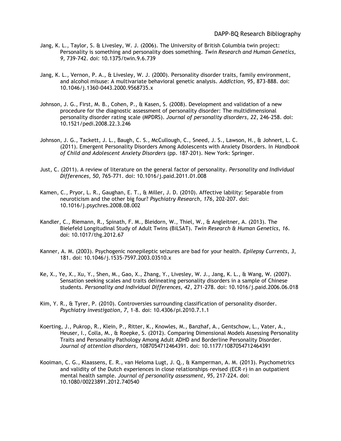- Jang, K. L., Taylor, S. & Livesley, W. J. (2006). The University of British Columbia twin project: Personality is something and personality does something. *Twin Research and Human Genetics, 9,* 739-742. doi: 10.1375/twin.9.6.739
- Jang, K. L., Vernon, P. A., & Livesley, W. J. (2000). Personality disorder traits, family environment, and alcohol misuse: A multivariate behavioral genetic analysis. *Addiction, 95,* 873-888. doi: 10.1046/j.1360-0443.2000.9568735.x
- Johnson, J. G., First, M. B., Cohen, P., & Kasen, S. (2008). Development and validation of a new procedure for the diagnostic assessment of personality disorder: The multidimensional personality disorder rating scale (MPDRS). *Journal of personality disorders, 22*, 246-258. doi: 10.1521/pedi.2008.22.3.246
- Johnson, J. G., Tackett, J. L., Baugh, C. S., McCullough, C., Sneed, J. S., Lawson, H., & Johnert, L. C. (2011). Emergent Personality Disorders Among Adolescents with Anxiety Disorders. In *Handbook of Child and Adolescent Anxiety Disorders* (pp. 187-201). New York: Springer.
- Just, C. (2011). A review of literature on the general factor of personality. *Personality and Individual Differences, 50*, 765-771. doi: 10.1016/j.paid.2011.01.008
- Kamen, C., Pryor, L. R., Gaughan, E. T., & Miller, J. D. (2010). Affective lability: Separable from neuroticism and the other big four? *Psychiatry Research, 176*, 202-207. doi: 10.1016/j.psychres.2008.08.002
- Kandler, C., Riemann, R., Spinath, F. M., Bleidorn, W., Thiel, W., & Angleitner, A. (2013). The Bielefeld Longitudinal Study of Adult Twins (BiLSAT). *Twin Research & Human Genetics, 16*. doi: 10.1017/thg.2012.67
- Kanner, A. M. (2003). Psychogenic nonepileptic seizures are bad for your health. *Epilepsy Currents, 3*, 181. doi: 10.1046/j.1535-7597.2003.03510.x
- Ke, X., Ye, X., Xu, Y., Shen, M., Gao, X., Zhang, Y., Livesley, W. J., Jang, K. L., & Wang, W. (2007). Sensation seeking scales and traits delineating personality disorders in a sample of Chinese students. *Personality and Individual Differences, 42,* 271-278. doi: 10.1016/j.paid.2006.06.018
- Kim, Y. R., & Tyrer, P. (2010). Controversies surrounding classification of personality disorder. *Psychiatry investigation, 7*, 1-8. doi: 10.4306/pi.2010.7.1.1
- Koerting, J., Pukrop, R., Klein, P., Ritter, K., Knowles, M., Banzhaf, A., Gentschow, L., Vater, A., Heuser, I., Colla, M., & Roepke, S. (2012). Comparing Dimensional Models Assessing Personality Traits and Personality Pathology Among Adult ADHD and Borderline Personality Disorder. *Journal of attention disorders*, 1087054712464391. doi: 10.1177/1087054712464391
- Kooiman, C. G., Klaassens, E. R., van Heloma Lugt, J. Q., & Kamperman, A. M. (2013). Psychometrics and validity of the Dutch experiences in close relationships–revised (ECR–r) in an outpatient mental health sample. *Journal of personality assessment, 95,* 217-224. doi: 10.1080/00223891.2012.740540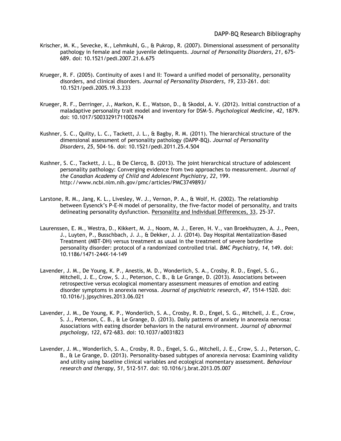- Krischer, M. K., Sevecke, K., Lehmkuhl, G., & Pukrop, R. (2007). Dimensional assessment of personality pathology in female and male juvenile delinquents. *Journal of Personality Disorders, 21,* 675- 689. doi: 10.1521/pedi.2007.21.6.675
- Krueger, R. F. (2005). Continuity of axes I and II: Toward a unified model of personality, personality disorders, and clinical disorders. *Journal of Personality Disorders, 19,* 233-261. doi: 10.1521/pedi.2005.19.3.233
- Krueger, R. F., Derringer, J., Markon, K. E., Watson, D., & Skodol, A. V. (2012). Initial construction of a maladaptive personality trait model and inventory for DSM-5. *Psychological Medicine, 42*, 1879. doi: 10.1017/S0033291711002674
- Kushner, S. C., Quilty, L. C., Tackett, J. L., & Bagby, R. M. (2011). The hierarchical structure of the dimensional assessment of personality pathology (DAPP-BQ). *Journal of Personality Disorders, 25*, 504-16. doi: 10.1521/pedi.2011.25.4.504
- Kushner, S. C., Tackett, J. L., & De Clercq, B. (2013). The joint hierarchical structure of adolescent personality pathology: Converging evidence from two approaches to measurement. *Journal of the Canadian Academy of Child and Adolescent Psychiatry, 22*, 199. http://www.ncbi.nlm.nih.gov/pmc/articles/PMC3749893/
- Larstone, R. M., Jang, K. L., Livesley, W. J., Vernon, P. A., & Wolf, H. (2002). The relationship between Eysenck's P-E-N model of personality, the five-factor model of personality, and traits delineating personality dysfunction. Personality and Individual Differences, 33*,* 25-37.
- Laurenssen, E. M., Westra, D., Kikkert, M. J., Noom, M. J., Eeren, H. V., van Broekhuyzen, A. J., Peen, J., Luyten, P., Busschbach, J. J., & Dekker, J. J. (2014). Day Hospital Mentalization-Based Treatment (MBT-DH) versus treatment as usual in the treatment of severe borderline personality disorder: protocol of a randomized controlled trial. *BMC Psychiatry, 14*, 149. doi: 10.1186/1471-244X-14-149
- Lavender, J. M., De Young, K. P., Anestis, M. D., Wonderlich, S. A., Crosby, R. D., Engel, S. G., Mitchell, J. E., Crow, S. J., Peterson, C. B., & Le Grange, D. (2013). Associations between retrospective versus ecological momentary assessment measures of emotion and eating disorder symptoms in anorexia nervosa. *Journal of psychiatric research, 47*, 1514-1520. doi: 10.1016/j.jpsychires.2013.06.021
- Lavender, J. M., De Young, K. P., Wonderlich, S. A., Crosby, R. D., Engel, S. G., Mitchell, J. E., Crow, S. J., Peterson, C. B., & Le Grange, D. (2013). Daily patterns of anxiety in anorexia nervosa: Associations with eating disorder behaviors in the natural environment. *Journal of abnormal psychology, 122*, 672-683. doi: 10.1037/a0031823
- Lavender, J. M., Wonderlich, S. A., Crosby, R. D., Engel, S. G., Mitchell, J. E., Crow, S. J., Peterson, C. B., & Le Grange, D. (2013). Personality-based subtypes of anorexia nervosa: Examining validity and utility using baseline clinical variables and ecological momentary assessment. *Behaviour research and therapy, 51*, 512-517. doi: 10.1016/j.brat.2013.05.007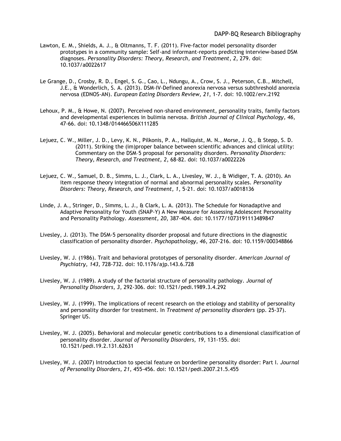- Lawton, E. M., Shields, A. J., & Oltmanns, T. F. (2011). Five-factor model personality disorder prototypes in a community sample: Self-and informant-reports predicting interview-based DSM diagnoses. *Personality Disorders: Theory, Research, and Treatment, 2*, 279. doi: 10.1037/a0022617
- Le Grange, D., Crosby, R. D., Engel, S. G., Cao, L., Ndungu, A., Crow, S. J., Peterson, C.B., Mitchell, J.E., & Wonderlich, S. A. (2013). DSM‐IV‐Defined anorexia nervosa versus subthreshold anorexia nervosa (EDNOS‐AN). *European Eating Disorders Review, 21*, 1-7. doi: 10.1002/erv.2192
- Lehoux, P. M., & Howe, N. (2007). Perceived non‐shared environment, personality traits, family factors and developmental experiences in bulimia nervosa. *British Journal of Clinical Psychology, 46*, 47-66. doi: 10.1348/014466506X111285
- Lejuez, C. W., Miller, J. D., Levy, K. N., Pilkonis, P. A., Hallquist, M. N., Morse, J. Q., & Stepp, S. D. (2011). Striking the (im)proper balance between scientific advances and clinical utility: Commentary on the DSM–5 proposal for personality disorders. *Personality Disorders: Theory, Research, and Treatment, 2*, 68-82. doi: 10.1037/a0022226
- Lejuez, C. W., Samuel, D. B., Simms, L. J., Clark, L. A., Livesley, W. J., & Widiger, T. A. (2010). An item response theory integration of normal and abnormal personality scales. *Personality Disorders: Theory, Research, and Treatment, 1*, 5-21. doi: 10.1037/a0018136
- Linde, J. A., Stringer, D., Simms, L. J., & Clark, L. A. (2013). The Schedule for Nonadaptive and Adaptive Personality for Youth (SNAP-Y) A New Measure for Assessing Adolescent Personality and Personality Pathology. *Assessment, 20*, 387-404. doi: 10.1177/1073191113489847
- Livesley, J. (2013). The DSM-5 personality disorder proposal and future directions in the diagnostic classification of personality disorder. *Psychopathology, 46*, 207-216. doi: 10.1159/000348866
- Livesley, W. J. (1986). Trait and behavioral prototypes of personality disorder. *American Journal of Psychiatry, 143,* 728-732. doi: 10.1176/ajp.143.6.728
- Livesley, W. J. (1989). A study of the factorial structure of personality pathology. *Journal of Personality Disorders, 3,* 292-306. doi: 10.1521/pedi.1989.3.4.292
- Livesley, W. J. (1999). The implications of recent research on the etiology and stability of personality and personality disorder for treatment. In *Treatment of personality disorders* (pp. 25-37). Springer US.
- Livesley, W. J. (2005). Behavioral and molecular genetic contributions to a dimensional classification of personality disorder. *Journal of Personality Disorders, 19,* 131-155. doi: 10.1521/pedi.19.2.131.62631
- Livesley, W. J. (2007) Introduction to special feature on borderline personality disorder: Part I. *Journal of Personality Disorders, 21,* 455-456. doi: 10.1521/pedi.2007.21.5.455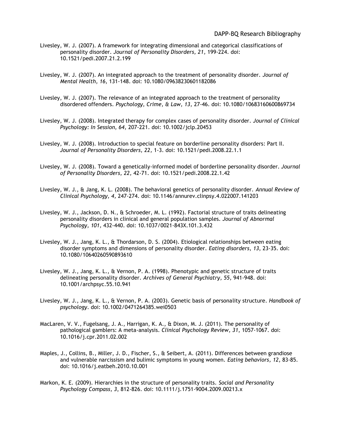- Livesley, W. J. (2007). A framework for integrating dimensional and categorical classifications of personality disorder. *Journal of Personality Disorders, 21,* 199-224. doi: 10.1521/pedi.2007.21.2.199
- Livesley, W. J. (2007). An integrated approach to the treatment of personality disorder. *Journal of Mental Health, 16,* 131-148. doi: 10.1080/09638230601182086
- Livesley, W. J. (2007). The relevance of an integrated approach to the treatment of personality disordered offenders. *Psychology, Crime, & Law, 13,* 27-46. doi: 10.1080/10683160600869734
- Livesley, W. J. (2008). Integrated therapy for complex cases of personality disorder. *Journal of Clinical Psychology: In Session, 64,* 207-221. doi: 10.1002/jclp.20453
- Livesley, W. J. (2008). Introduction to special feature on borderline personality disorders: Part II. *Journal of Personality Disorders, 22,* 1-3. doi: 10.1521/pedi.2008.22.1.1
- Livesley, W. J. (2008). Toward a genetically-informed model of borderline personality disorder. *Journal of Personality Disorders, 22,* 42-71. doi: 10.1521/pedi.2008.22.1.42
- Livesley, W. J., & Jang, K. L. (2008). The behavioral genetics of personality disorder. *Annual Review of Clinical Psychology, 4,* 247-274. doi: 10.1146/annurev.clinpsy.4.022007.141203
- Livesley, W. J., Jackson, D. N., & Schroeder, M. L. (1992). Factorial structure of traits delineating personality disorders in clinical and general population samples. *Journal of Abnormal Psychology, 101,* 432-440. doi: 10.1037/0021-843X.101.3.432
- Livesley, W. J., Jang, K. L., & Thordarson, D. S. (2004). Etiological relationships between eating disorder symptoms and dimensions of personality disorder. *Eating disorders, 13*, 23-35. doi: 10.1080/10640260590893610
- Livesley, W. J., Jang, K. L., & Vernon, P. A. (1998). Phenotypic and genetic structure of traits delineating personality disorder. *Archives of General Psychiatry, 55,* 941-948. doi: 10.1001/archpsyc.55.10.941
- Livesley, W. J., Jang, K. L., & Vernon, P. A. (2003). Genetic basis of personality structure. *Handbook of psychology*. doi: 10.1002/0471264385.wei0503
- MacLaren, V. V., Fugelsang, J. A., Harrigan, K. A., & Dixon, M. J. (2011). The personality of pathological gamblers: A meta-analysis. *Clinical Psychology Review, 31*, 1057-1067. doi: 10.1016/j.cpr.2011.02.002
- Maples, J., Collins, B., Miller, J. D., Fischer, S., & Seibert, A. (2011). Differences between grandiose and vulnerable narcissism and bulimic symptoms in young women. *Eating behaviors, 12*, 83-85. doi: 10.1016/j.eatbeh.2010.10.001
- Markon, K. E. (2009). Hierarchies in the structure of personality traits. *Social and Personality Psychology Compass, 3*, 812-826. doi: 10.1111/j.1751-9004.2009.00213.x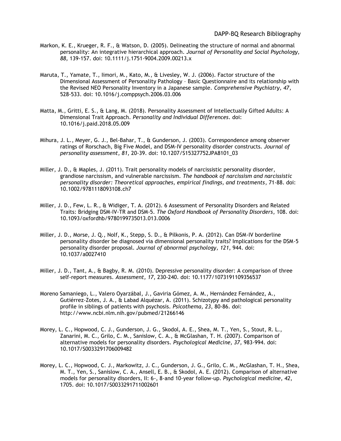- Markon, K. E., Krueger, R. F., & Watson, D. (2005). Delineating the structure of normal and abnormal personality: An integrative hierarchical approach. *Journal of Personality and Social Psychology, 88,* 139-157. doi: 10.1111/j.1751-9004.2009.00213.x
- Maruta, T., Yamate, T., Iimori, M., Kato, M., & Livesley, W. J. (2006). Factor structure of the Dimensional Assessment of Personality Pathology – Basic Questionnaire and its relationship with the Revised NEO Personality Inventory in a Japanese sample. *Comprehensive Psychiatry, 47,*  528-533. doi: 10.1016/j.comppsych.2006.03.006
- Matta, M., Gritti, E. S., & Lang, M. (2018). Personality Assessment of Intellectually Gifted Adults: A Dimensional Trait Approach. *Personality and Individual Differences*. doi: 10.1016/j.paid.2018.05.009
- Mihura, J. L., Meyer, G. J., Bel-Bahar, T., & Gunderson, J. (2003). Correspondence among observer ratings of Rorschach, Big Five Model, and DSM-IV personality disorder constructs. *Journal of personality assessment, 81*, 20-39. doi: 10.1207/S15327752JPA8101\_03
- Miller, J. D., & Maples, J. (2011). Trait personality models of narcissistic personality disorder, grandiose narcissism, and vulnerable narcissism. *The handbook of narcissism and narcissistic personality disorder: Theoretical approaches, empirical findings, and treatments*, 71-88. doi: 10.1002/9781118093108.ch7
- Miller, J. D., Few, L. R., & Widiger, T. A. (2012). 6 Assessment of Personality Disorders and Related Traits: Bridging DSM-IV-TR and DSM-5. *The Oxford Handbook of Personality Disorders*, 108. doi: 10.1093/oxfordhb/9780199735013.013.0006
- Miller, J. D., Morse, J. Q., Nolf, K., Stepp, S. D., & Pilkonis, P. A. (2012). Can DSM-IV borderline personality disorder be diagnosed via dimensional personality traits? Implications for the DSM-5 personality disorder proposal. *Journal of abnormal psychology, 121*, 944. doi: 10.1037/a0027410
- Miller, J. D., Tant, A., & Bagby, R. M. (2010). Depressive personality disorder: A comparison of three self-report measures. *Assessment, 17*, 230-240. doi: 10.1177/1073191109356537
- Moreno Samaniego, L., Valero Oyarzábal, J., Gaviria Gómez, A. M., Hernández Fernández, A., Gutiérrez-Zotes, J. A., & Labad Alquézar, A. (2011). Schizotypy and pathological personality profile in siblings of patients with psychosis. *Psicothema, 23*, 80-86. doi: http://www.ncbi.nlm.nih.gov/pubmed/21266146
- Morey, L. C., Hopwood, C. J., Gunderson, J. G., Skodol, A. E., Shea, M. T., Yen, S., Stout, R. L., Zanarini, M. C., Grilo, C. M., Sanislow, C. A., & McGlashan, T. H. (2007). Comparison of alternative models for personality disorders. *Psychological Medicine, 37,* 983-994. doi: 10.1017/S0033291706009482
- Morey, L. C., Hopwood, C. J., Markowitz, J. C., Gunderson, J. G., Grilo, C. M., McGlashan, T. H., Shea, M. T., Yen, S., Sanislow, C. A., Ansell, E. B., & Skodol, A. E. (2012). Comparison of alternative models for personality disorders, II: 6-, 8-and 10-year follow-up. *Psychological medicine, 42*, 1705. doi: 10.1017/S0033291711002601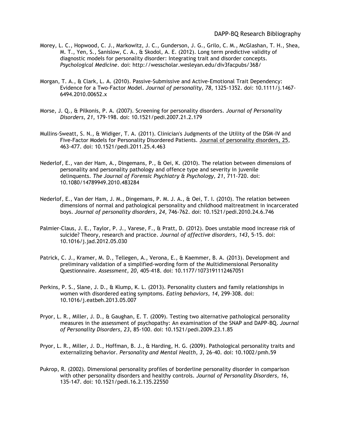- Morey, L. C., Hopwood, C. J., Markowitz, J. C., Gunderson, J. G., Grilo, C. M., McGlashan, T. H., Shea, M. T., Yen, S., Sanislow, C. A., & Skodol, A. E. (2012). Long term predictive validity of diagnostic models for personality disorder: Integrating trait and disorder concepts. *Psychological Medicine*. doi: http://wesscholar.wesleyan.edu/div3facpubs/368/
- Morgan, T. A., & Clark, L. A. (2010). Passive‐Submissive and Active‐Emotional Trait Dependency: Evidence for a Two‐Factor Model. *Journal of personality, 78*, 1325-1352. doi: 10.1111/j.1467- 6494.2010.00652.x
- Morse, J. Q., & Pilkonis, P. A. (2007). Screening for personality disorders. *Journal of Personality Disorders, 21,* 179-198. doi: 10.1521/pedi.2007.21.2.179
- Mullins-Sweatt, S. N., & Widiger, T. A. (2011). Clinician's Judgments of the Utility of the DSM-IV and Five-Factor Models for Personality Disordered Patients. Journal of personality disorders, 25, 463-477. doi: 10.1521/pedi.2011.25.4.463
- Nederlof, E., van der Ham, A., Dingemans, P., & Oei, K. (2010). The relation between dimensions of personality and personality pathology and offence type and severity in juvenile delinquents. *The Journal of Forensic Psychiatry & Psychology, 21*, 711-720. doi: 10.1080/14789949.2010.483284
- Nederlof, E., Van der Ham, J. M., Dingemans, P. M. J. A., & Oei, T. I. (2010). The relation between dimensions of normal and pathological personality and childhood maltreatment in incarcerated boys. *Journal of personality disorders, 24*, 746-762. doi: 10.1521/pedi.2010.24.6.746
- Palmier-Claus, J. E., Taylor, P. J., Varese, F., & Pratt, D. (2012). Does unstable mood increase risk of suicide? Theory, research and practice. *Journal of affective disorders, 143*, 5-15. doi: 10.1016/j.jad.2012.05.030
- Patrick, C. J., Kramer, M. D., Tellegen, A., Verona, E., & Kaemmer, B. A. (2013). Development and preliminary validation of a simplified-wording form of the Multidimensional Personality Questionnaire. *Assessment, 20*, 405-418. doi: 10.1177/1073191112467051
- Perkins, P. S., Slane, J. D., & Klump, K. L. (2013). Personality clusters and family relationships in women with disordered eating symptoms. *Eating behaviors, 14*, 299-308. doi: 10.1016/j.eatbeh.2013.05.007
- Pryor, L. R., Miller, J. D., & Gaughan, E. T. (2009). Testing two alternative pathological personality measures in the assessment of psychopathy: An examination of the SNAP and DAPP-BQ. *Journal of Personality Disorders, 23,* 85-100. doi: 10.1521/pedi.2009.23.1.85
- Pryor, L. R., Miller, J. D., Hoffman, B. J., & Harding, H. G. (2009). Pathological personality traits and externalizing behavior. *Personality and Mental Health, 3,* 26-40. doi: 10.1002/pmh.59
- Pukrop, R. (2002). Dimensional personality profiles of borderline personality disorder in comparison with other personality disorders and healthy controls. *Journal of Personality Disorders, 16,*  135-147. doi: 10.1521/pedi.16.2.135.22550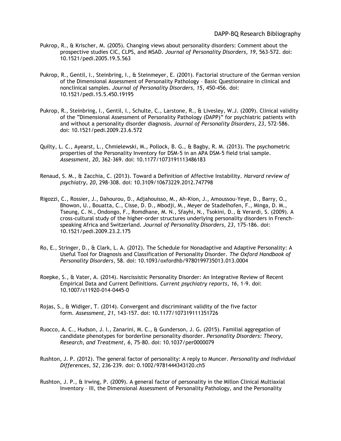- Pukrop, R., & Krischer, M. (2005). Changing views about personality disorders: Comment about the prospective studies CIC, CLPS, and MSAD. *Journal of Personality Disorders, 19,* 563-572. doi: 10.1521/pedi.2005.19.5.563
- Pukrop, R., Gentil, I., Steinbring, I., & Steinmeyer, E. (2001). Factorial structure of the German version of the Dimensional Assessment of Personality Pathology – Basic Questionnaire in clinical and nonclinical samples. *Journal of Personality Disorders, 15,* 450-456. doi: 10.1521/pedi.15.5.450.19195
- Pukrop, R., Steinbring, I., Gentil, I., Schulte, C., Larstone, R., & Livesley, W.J. (2009). Clinical validity of the "Dimensional Assessment of Personality Pathology (DAPP)" for psychiatric patients with and without a personality disorder diagnosis. *Journal of Personality Disorders, 23,* 572-586. doi: 10.1521/pedi.2009.23.6.572
- Quilty, L. C., Ayearst, L., Chmielewski, M., Pollock, B. G., & Bagby, R. M. (2013). The psychometric properties of the Personality Inventory for DSM-5 in an APA DSM-5 field trial sample. *Assessment, 20*, 362-369. doi: 10.1177/1073191113486183
- Renaud, S. M., & Zacchia, C. (2013). Toward a Definition of Affective Instability. *Harvard review of psychiatry, 20*, 298-308. doi: 10.3109/10673229.2012.747798
- Rigozzi, C., Rossier, J., Dahourou, D., Adjahouisso, M., Ah-Kion, J., Amoussou-Yeye, D., Barry, O., Bhowon, U., Bouatta, C., Cisse, D. D., Mbodji, M., Meyer de Stadelhofen, F., Minga, D. M., Tseung, C. N., Ondongo, F., Romdhane, M. N., Sfayhi, N., Tsokini, D., & Verardi, S. (2009). A cross-cultural study of the higher-order structures underlying personality disorders in Frenchspeaking Africa and Switzerland. *Journal of Personality Disorders, 23,* 175-186. doi: 10.1521/pedi.2009.23.2.175
- Ro, E., Stringer, D., & Clark, L. A. (2012). The Schedule for Nonadaptive and Adaptive Personality: A Useful Tool for Diagnosis and Classification of Personality Disorder. *The Oxford Handbook of Personality Disorders*, 58. doi: 10.1093/oxfordhb/9780199735013.013.0004
- Roepke, S., & Vater, A. (2014). Narcissistic Personality Disorder: An Integrative Review of Recent Empirical Data and Current Definitions. *Current psychiatry reports, 16*, 1-9. doi: 10.1007/s11920-014-0445-0
- Rojas, S., & Widiger, T. (2014). Convergent and discriminant validity of the five factor form. *Assessment, 21,* 143-157. doi: 10.1177/107319111351726
- Ruocco, A. C., Hudson, J. I., Zanarini, M. C., & Gunderson, J. G. (2015). Familial aggregation of candidate phenotypes for borderline personality disorder. *Personality Disorders: Theory, Research, and Treatment, 6*, 75-80. doi: 10.1037/per0000079
- Rushton, J. P. (2012). The general factor of personality: A reply to Muncer. *Personality and Individual Differences, 52*, 236-239. doi: 0.1002/9781444343120.ch5
- Rushton, J. P., & Irwing, P. (2009). A general factor of personality in the Millon Clinical Multiaxial Inventory – III, the Dimensional Assessment of Personality Pathology, and the Personality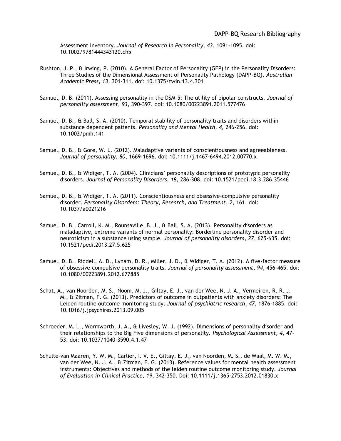Assessment Inventory. *Journal of Research in Personality, 43,* 1091-1095. doi: 10.1002/9781444343120.ch5

- Rushton, J. P., & Irwing, P. (2010). A General Factor of Personality (GFP) in the Personality Disorders: Three Studies of the Dimensional Assessment of Personality Pathology (DAPP-BQ). *Australian Academic Press, 13,* 301-311. doi: 10.1375/twin.13.4.301
- Samuel, D. B. (2011). Assessing personality in the DSM–5: The utility of bipolar constructs. *Journal of personality assessment, 93*, 390-397. doi: 10.1080/00223891.2011.577476
- Samuel, D. B., & Ball, S. A. (2010). Temporal stability of personality traits and disorders within substance dependent patients. *Personality and Mental Health, 4,* 246-256. doi: 10.1002/pmh.141
- Samuel, D. B., & Gore, W. L. (2012). Maladaptive variants of conscientiousness and agreeableness. *Journal of personality, 80*, 1669-1696. doi: 10.1111/j.1467-6494.2012.00770.x
- Samuel, D. B., & Widiger, T. A. (2004). Clinicians' personality descriptions of prototypic personality disorders. *Journal of Personality Disorders, 18,* 286-308. doi: 10.1521/pedi.18.3.286.35446
- Samuel, D. B., & Widiger, T. A. (2011). Conscientiousness and obsessive-compulsive personality disorder. *Personality Disorders: Theory, Research, and Treatment, 2*, 161. doi: 10.1037/a0021216
- Samuel, D. B., Carroll, K. M., Rounsaville, B. J., & Ball, S. A. (2013). Personality disorders as maladaptive, extreme variants of normal personality: Borderline personality disorder and neuroticism in a substance using sample. *Journal of personality disorders, 27*, 625-635. doi: 10.1521/pedi.2013.27.5.625
- Samuel, D. B., Riddell, A. D., Lynam, D. R., Miller, J. D., & Widiger, T. A. (2012). A five-factor measure of obsessive–compulsive personality traits. *Journal of personality assessment, 94*, 456-465. doi: 10.1080/00223891.2012.677885
- Schat, A., van Noorden, M. S., Noom, M. J., Giltay, E. J., van der Wee, N. J. A., Vermeiren, R. R. J. M., & Zitman, F. G. (2013). Predictors of outcome in outpatients with anxiety disorders: The Leiden routine outcome monitoring study. *Journal of psychiatric research, 47*, 1876-1885. doi: 10.1016/j.jpsychires.2013.09.005
- Schroeder, M. L., Wormworth, J. A., & Livesley, W. J. (1992). Dimensions of personality disorder and their relationships to the Big Five dimensions of personality. *Psychological Assessment, 4,* 47- 53. doi: 10.1037/1040-3590.4.1.47
- Schulte-van Maaren, Y. W. M., Carlier, I. V. E., Giltay, E. J., van Noorden, M. S., de Waal, M. W. M., van der Wee, N. J. A., & Zitman, F. G. (2013). Reference values for mental health assessment instruments: Objectives and methods of the leiden routine outcome monitoring study*. Journal of Evaluation in Clinical Practice, 19,* 342-350. Doi: 10.1111/j.1365-2753.2012.01830.x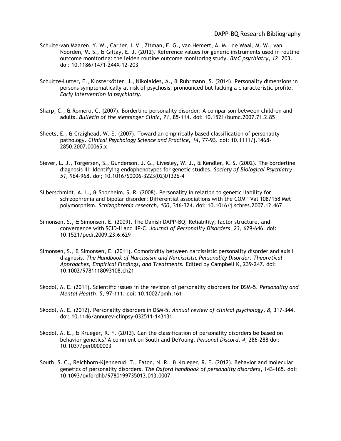- Schulte-van Maaren, Y. W., Carlier, I. V., Zitman, F. G., van Hemert, A. M., de Waal, M. W., van Noorden, M. S., & Giltay, E. J. (2012). Reference values for generic instruments used in routine outcome monitoring: the leiden routine outcome monitoring study. *BMC psychiatry, 12*, 203. doi: 10.1186/1471-244X-12-203
- Schultze‐Lutter, F., Klosterkötter, J., Nikolaides, A., & Ruhrmann, S. (2014). Personality dimensions in persons symptomatically at risk of psychosis: pronounced but lacking a characteristic profile. *Early intervention in psychiatry*.
- Sharp, C., & Romero, C. (2007). Borderline personality disorder: A comparison between children and adults. *Bulletin of the Menninger Clinic, 71*, 85-114. doi: 10.1521/bumc.2007.71.2.85
- Sheets, E., & Craighead, W. E. (2007). Toward an empirically based classification of personality pathology. *Clinical Psychology Science and Practice, 14,* 77-93. doi: 10.1111/j.1468- 2850.2007.00065.x
- Siever, L. J., Torgersen, S., Gunderson, J. G., Livesley, W. J., & Kendler, K. S. (2002). The borderline diagnosis III: Identifying endophenotypes for genetic studies. *Society of Biological Psychiatry, 51,* 964-968. doi; 10.1016/S0006-3223(02)01326-4
- Silberschmidt, A. L., & Sponheim, S. R. (2008). Personality in relation to genetic liability for schizophrenia and bipolar disorder: Differential associations with the COMT Val 108/158 Met polymorphism. *Schizophrenia research, 100*, 316-324. doi: 10.1016/j.schres.2007.12.467
- Simonsen, S., & Simonsen, E. (2009). The Danish DAPP-BQ: Reliability, factor structure, and convergence with SCID-II and IIP-C. *Journal of Personality Disorders, 23,* 629-646. doi: 10.1521/pedi.2009.23.6.629
- Simonsen, S., & Simonsen, E. (2011). Comorbidity between narcissistic personality disorder and axis I diagnosis. *The Handbook of Narcissism and Narcissistic Personality Disorder: Theoretical Approaches, Empirical Findings, and Treatments.* Edited by Campbell K, 239-247. doi: 10.1002/9781118093108.ch21
- Skodol, A. E. (2011). Scientific issues in the revision of personality disorders for DSM‐5. *Personality and Mental Health, 5*, 97-111. doi: 10.1002/pmh.161
- Skodol, A. E. (2012). Personality disorders in DSM-5. *Annual review of clinical psychology, 8*, 317-344. doi: 10.1146/annurev-clinpsy-032511-143131
- Skodol, A. E., & Krueger, R. F. (2013). Can the classification of personality disorders be based on behavior genetics? A comment on South and DeYoung. *Personal Discord, 4,* 286-288 doi: 10.1037/per0000003
- South, S. C., Reichborn-Kjennerud, T., Eaton, N. R., & Krueger, R. F. (2012). Behavior and molecular genetics of personality disorders. *The Oxford handbook of personality disorders*, 143-165. doi: 10.1093/oxfordhb/9780199735013.013.0007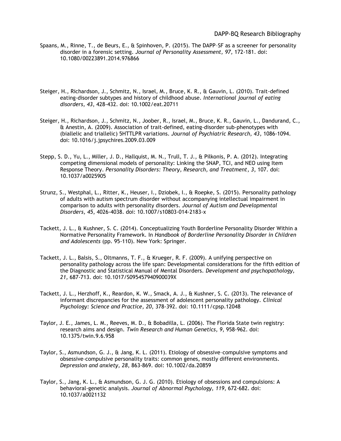- Spaans, M., Rinne, T., de Beurs, E., & Spinhoven, P. (2015). The DAPP–SF as a screener for personality disorder in a forensic setting. *Journal of Personality Assessment, 97,* 172-181. doi: 10.1080/00223891.2014.976866
- Steiger, H., Richardson, J., Schmitz, N., Israel, M., Bruce, K. R., & Gauvin, L. (2010). Trait‐defined eating‐disorder subtypes and history of childhood abuse. *International journal of eating disorders, 43*, 428-432. doi: 10.1002/eat.20711
- Steiger, H., Richardson, J., Schmitz, N., Joober, R., Israel, M., Bruce, K. R., Gauvin, L., Dandurand, C., & Anestin, A. (2009). Association of trait-defined, eating-disorder sub-phenotypes with (biallelic and triallelic) 5HTTLPR variations. *Journal of Psychiatric Research, 43,* 1086-1094. doi: 10.1016/j.jpsychires.2009.03.009
- Stepp, S. D., Yu, L., Miller, J. D., Hallquist, M. N., Trull, T. J., & Pilkonis, P. A. (2012). Integrating competing dimensional models of personality: Linking the SNAP, TCI, and NEO using Item Response Theory. *Personality Disorders: Theory, Research, and Treatment, 3*, 107. doi: 10.1037/a0025905
- Strunz, S., Westphal, L., Ritter, K., Heuser, I., Dziobek, I., & Roepke, S. (2015). Personality pathology of adults with autism spectrum disorder without accompanying intellectual impairment in comparison to adults with personality disorders. *Journal of Autism and Developmental Disorders, 45*, 4026-4038. doi: 10.1007/s10803-014-2183-x
- Tackett, J. L., & Kushner, S. C. (2014). Conceptualizing Youth Borderline Personality Disorder Within a Normative Personality Framework. In *Handbook of Borderline Personality Disorder in Children and Adolescents* (pp. 95-110). New York: Springer.
- Tackett, J. L., Balsis, S., Oltmanns, T. F., & Krueger, R. F. (2009). A unifying perspective on personality pathology across the life span: Developmental considerations for the fifth edition of the Diagnostic and Statistical Manual of Mental Disorders. *Development and psychopathology, 21,* 687-713. doi: 10.1017/S095457940900039X
- Tackett, J. L., Herzhoff, K., Reardon, K. W., Smack, A. J., & Kushner, S. C. (2013). The relevance of informant discrepancies for the assessment of adolescent personality pathology. *Clinical Psychology: Science and Practice, 20*, 378-392. doi: 10.1111/cpsp.12048
- Taylor, J. E., James, L. M., Reeves, M. D., & Bobadilla, L. (2006). The Florida State twin registry: research aims and design. *Twin Research and Human Genetics, 9*, 958-962. doi: 10.1375/twin.9.6.958
- Taylor, S., Asmundson, G. J., & Jang, K. L. (2011). Etiology of obsessive–compulsive symptoms and obsessive–compulsive personality traits: common genes, mostly different environments. *Depression and anxiety, 28*, 863-869. doi: 10.1002/da.20859
- Taylor, S., Jang, K. L., & Asmundson, G. J. G. (2010). Etiology of obsessions and compulsions: A behavioral-genetic analysis. *Journal of Abnormal Psychology, 119*, 672-682. doi: 10.1037/a0021132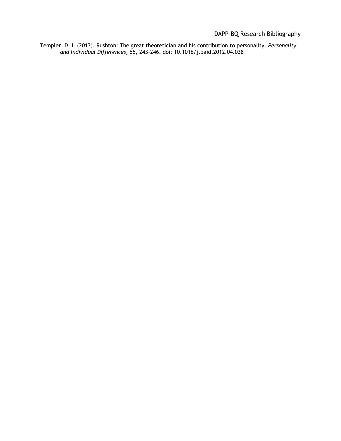DAPP-BQ Research Bibliography

Templer, D. I. (2013). Rushton: The great theoretician and his contribution to personality. *Personality and Individual Differences, 55*, 243-246. doi: 10.1016/j.paid.2012.04.038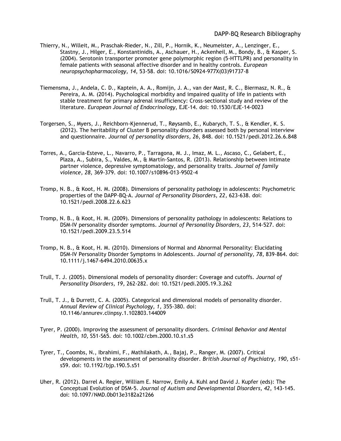- Thierry, N., Willeit, M., Praschak-Rieder, N., Zill, P., Hornik, K., Neumeister, A., Lenzinger, E., Stastny, J., Hilger, E., Konstantinidis, A., Aschauer, H., Ackenheil, M., Bondy, B., & Kasper, S. (2004). Serotonin transporter promoter gene polymorphic region (5-HTTLPR) and personality in female patients with seasonal affective disorder and in healthy controls. *European neuropsychopharmacology, 14*, 53-58. doi: 10.1016/S0924-977X(03)91737-8
- Tiemensma, J., Andela, C. D., Kaptein, A. A., Romijn, J. A., van der Mast, R. C., Biermasz, N. R., & Pereira, A. M. (2014). Psychological morbidity and impaired quality of life in patients with stable treatment for primary adrenal insufficiency: Cross-sectional study and review of the literature. *European Journal of Endocrinology*, EJE-14. doi: 10.1530/EJE-14-0023
- Torgersen, S., Myers, J., Reichborn-Kjennerud, T., Røysamb, E., Kubarych, T. S., & Kendler, K. S. (2012). The heritability of Cluster B personality disorders assessed both by personal interview and questionnaire. *Journal of personality disorders, 26*, 848. doi: 10.1521/pedi.2012.26.6.848
- Torres, A., Garcia-Esteve, L., Navarro, P., Tarragona, M. J., Imaz, M. L., Ascaso, C., Gelabert, E., Plaza, A., Subira, S., Valdes, M., & Martín-Santos, R. (2013). Relationship between intimate partner violence, depressive symptomatology, and personality traits. *Journal of family violence, 28*, 369-379. doi: 10.1007/s10896-013-9502-4
- Tromp, N. B., & Koot, H. M. (2008). Dimensions of personality pathology in adolescents: Psychometric properties of the DAPP-BQ-A. *Journal of Personality Disorders, 22,* 623-638. doi: 10.1521/pedi.2008.22.6.623
- Tromp, N. B., & Koot, H. M. (2009). Dimensions of personality pathology in adolescents: Relations to DSM-IV personality disorder symptoms. *Journal of Personality Disorders, 23,* 514-527. doi: 10.1521/pedi.2009.23.5.514
- Tromp, N. B., & Koot, H. M. (2010). Dimensions of Normal and Abnormal Personality: Elucidating DSM‐IV Personality Disorder Symptoms in Adolescents. *Journal of personality, 78*, 839-864. doi: 10.1111/j.1467-6494.2010.00635.x
- Trull, T. J. (2005). Dimensional models of personality disorder: Coverage and cutoffs. *Journal of Personality Disorders, 19,* 262-282. doi: 10.1521/pedi.2005.19.3.262
- Trull, T. J., & Durrett, C. A. (2005). Categorical and dimensional models of personality disorder. *Annual Review of Clinical Psychology, 1,* 355-380. doi: 10.1146/annurev.clinpsy.1.102803.144009
- Tyrer, P. (2000). Improving the assessment of personality disorders. *Criminal Behavior and Mental Health, 10,* S51-S65*.* doi: 10.1002/cbm.2000.10.s1.s5
- Tyrer, T., Coombs, N., Ibrahimi, F., Mathilakath, A., Bajaj, P., Ranger, M. (2007). Critical developments in the assessment of personality disorder. *British Journal of Psychiatry, 190,* s51 s59. doi: 10.1192/bjp.190.5.s51
- Uher, R. (2012). Darrel A. Regier, William E. Narrow, Emily A. Kuhl and David J. Kupfer (eds): The Conceptual Evolution of DSM-5. *Journal of Autism and Developmental Disorders, 42*, 143-145. doi: 10.1097/NMD.0b013e3182a21266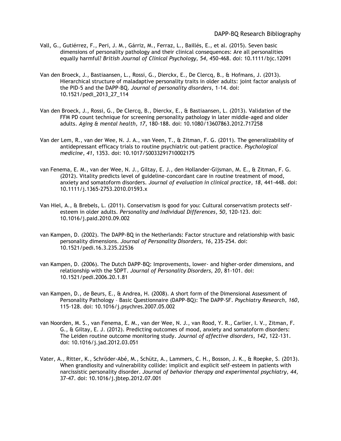- Vall, G., Gutiérrez, F., Peri, J. M., Gárriz, M., Ferraz, L., Baillés, E., et al. (2015). Seven basic dimensions of personality pathology and their clinical consequences: Are all personalities equally harmful? *British Journal of Clinical Psychology, 54,* 450-468. doi: 10.1111/bjc.12091
- Van den Broeck, J., Bastiaansen, L., Rossi, G., Dierckx, E., De Clercq, B., & Hofmans, J. (2013). Hierarchical structure of maladaptive personality traits in older adults: joint factor analysis of the PID-5 and the DAPP-BQ. *Journal of personality disorders*, 1-14. doi: 10.1521/pedi\_2013\_27\_114
- Van den Broeck, J., Rossi, G., De Clercq, B., Dierckx, E., & Bastiaansen, L. (2013). Validation of the FFM PD count technique for screening personality pathology in later middle-aged and older adults. *Aging & mental health, 17*, 180-188. doi: 10.1080/13607863.2012.717258
- Van der Lem, R., van der Wee, N. J. A., van Veen, T., & Zitman, F. G. (2011). The generalizability of antidepressant efficacy trials to routine psychiatric out-patient practice. *Psychological medicine, 41*, 1353. doi: 10.1017/S0033291710002175
- van Fenema, E. M., van der Wee, N. J., Giltay, E. J., den Hollander‐Gijsman, M. E., & Zitman, F. G. (2012). Vitality predicts level of guideline‐concordant care in routine treatment of mood, anxiety and somatoform disorders. *Journal of evaluation in clinical practice, 18*, 441-448. doi: 10.1111/j.1365-2753.2010.01593.x
- Van Hiel, A., & Brebels, L. (2011). Conservatism is good for you: Cultural conservatism protects selfesteem in older adults. *Personality and Individual Differences, 50*, 120-123. doi: 10.1016/j.paid.2010.09.002
- van Kampen, D. (2002). The DAPP-BQ in the Netherlands: Factor structure and relationship with basic personality dimensions. *Journal of Personality Disorders, 16,* 235-254. doi: 10.1521/pedi.16.3.235.22536
- van Kampen, D. (2006). The Dutch DAPP-BQ: Improvements, lower- and higher-order dimensions, and relationship with the 5DPT. *Journal of Personality Disorders, 20,* 81-101. doi: 10.1521/pedi.2006.20.1.81
- van Kampen, D., de Beurs, E., & Andrea, H. (2008). A short form of the Dimensional Assessment of Personality Pathology – Basic Questionnaire (DAPP-BQ): The DAPP-SF. *Psychiatry Research, 160,*  115-128. doi: 10.1016/j.psychres.2007.05.002
- van Noorden, M. S., van Fenema, E. M., van der Wee, N. J., van Rood, Y. R., Carlier, I. V., Zitman, F. G., & Giltay, E. J. (2012). Predicting outcomes of mood, anxiety and somatoform disorders: The Leiden routine outcome monitoring study. *Journal of affective disorders, 142*, 122-131. doi: 10.1016/j.jad.2012.03.051
- Vater, A., Ritter, K., Schröder-Abé, M., Schütz, A., Lammers, C. H., Bosson, J. K., & Roepke, S. (2013). When grandiosity and vulnerability collide: implicit and explicit self-esteem in patients with narcissistic personality disorder. *Journal of behavior therapy and experimental psychiatry, 44*, 37-47. doi: 10.1016/j.jbtep.2012.07.001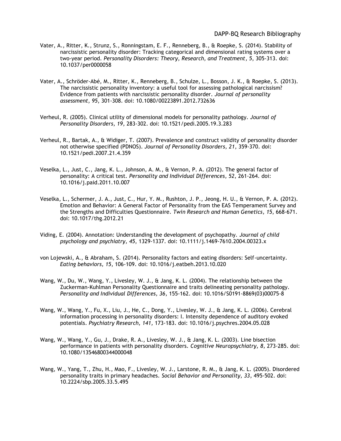- Vater, A., Ritter, K., Strunz, S., Ronningstam, E. F., Renneberg, B., & Roepke, S. (2014). Stability of narcissistic personality disorder: Tracking categorical and dimensional rating systems over a two-year period*. Personality Disorders: Theory, Research, and Treatment, 5*, 305-313. doi: 10.1037/per0000058
- Vater, A., Schröder-Abé, M., Ritter, K., Renneberg, B., Schulze, L., Bosson, J. K., & Roepke, S. (2013). The narcissistic personality inventory: a useful tool for assessing pathological narcissism? Evidence from patients with narcissistic personality disorder. *Journal of personality assessment, 95*, 301-308. doi: 10.1080/00223891.2012.732636
- Verheul, R. (2005). Clinical utility of dimensional models for personality pathology. *Journal of Personality Disorders, 19,* 283-302. doi: 10.1521/pedi.2005.19.3.283
- Verheul, R., Bartak, A., & Widiger, T. (2007). Prevalence and construct validity of personality disorder not otherwise specified (PDNOS). *Journal of Personality Disorders, 21,* 359-370. doi: 10.1521/pedi.2007.21.4.359
- Veselka, L., Just, C., Jang, K. L., Johnson, A. M., & Vernon, P. A. (2012). The general factor of personality: A critical test. *Personality and Individual Differences, 52*, 261-264. doi: 10.1016/j.paid.2011.10.007
- Veselka, L., Schermer, J. A., Just, C., Hur, Y. M., Rushton, J. P., Jeong, H. U., & Vernon, P. A. (2012). Emotion and Behavior: A General Factor of Personality from the EAS Temperament Survey and the Strengths and Difficulties Questionnaire. *Twin Research and Human Genetics, 15*, 668-671. doi: 10.1017/thg.2012.21
- Viding, E. (2004). Annotation: Understanding the development of psychopathy. *Journal of child psychology and psychiatry, 45*, 1329-1337. doi: 10.1111/j.1469-7610.2004.00323.x
- von Lojewski, A., & Abraham, S. (2014). Personality factors and eating disorders: Self-uncertainty. *Eating behaviors, 15*, 106-109. doi: 10.1016/j.eatbeh.2013.10.020
- Wang, W., Du, W., Wang, Y., Livesley, W. J., & Jang, K. L. (2004). The relationship between the Zuckerman-Kuhlman Personality Questionnaire and traits delineating personality pathology. *Personality and Individual Differences, 36,* 155-162. doi: 10.1016/S0191-8869(03)00075-8
- Wang, W., Wang, Y., Fu, X., Liu, J., He, C., Dong, Y., Livesley, W. J., & Jang, K. L. (2006). Cerebral information processing in personality disorders: I. Intensity dependence of auditory evoked potentials. *Psychiatry Research, 141,* 173-183. doi: 10.1016/j.psychres.2004.05.028
- Wang, W., Wang, Y., Gu, J., Drake, R. A., Livesley, W. J., & Jang, K. L. (2003). Line bisection performance in patients with personality disorders. *Cognitive Neuropsychiatry, 8,* 273-285. doi: 10.1080/13546800344000048
- Wang, W., Yang, T., Zhu, H., Mao, F., Livesley, W. J., Larstone, R. M., & Jang, K. L. (2005). Disordered personality traits in primary headaches. *Social Behavior and Personality, 33,* 495-502. doi: 10.2224/sbp.2005.33.5.495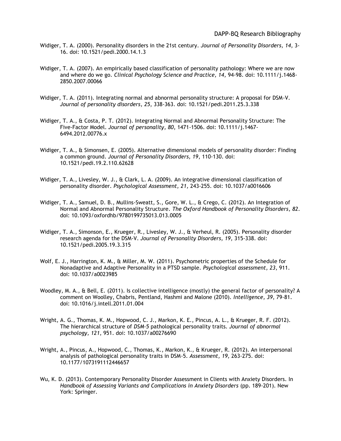- Widiger, T. A. (2000). Personality disorders in the 21st century. *Journal of Personality Disorders, 14,* 3- 16. doi: 10.1521/pedi.2000.14.1.3
- Widiger, T. A. (2007). An empirically based classification of personality pathology: Where we are now and where do we go. *Clinical Psychology Science and Practice, 14,* 94-98. doi: 10.1111/j.1468- 2850.2007.00066
- Widiger, T. A. (2011). Integrating normal and abnormal personality structure: A proposal for DSM-V. *Journal of personality disorders, 25*, 338-363. doi: 10.1521/pedi.2011.25.3.338
- Widiger, T. A., & Costa, P. T. (2012). Integrating Normal and Abnormal Personality Structure: The Five‐Factor Model. *Journal of personality, 80*, 1471-1506. doi: 10.1111/j.1467- 6494.2012.00776.x
- Widiger, T. A., & Simonsen, E. (2005). Alternative dimensional models of personality disorder: Finding a common ground. *Journal of Personality Disorders, 19*, 110-130. doi: 10.1521/pedi.19.2.110.62628
- Widiger, T. A., Livesley, W. J., & Clark, L. A. (2009). An integrative dimensional classification of personality disorder. *Psychological Assessment, 21,* 243-255. doi: 10.1037/a0016606
- Widiger, T. A., Samuel, D. B., Mullins-Sweatt, S., Gore, W. L., & Crego, C. (2012). An Integration of Normal and Abnormal Personality Structure. *The Oxford Handbook of Personality Disorders, 82*. doi: 10.1093/oxfordhb/9780199735013.013.0005
- Widiger, T. A., Simonson, E., Krueger, R., Livesley, W. J., & Verheul, R. (2005). Personality disorder research agenda for the DSM-V. *Journal of Personality Disorders, 19,* 315-338. doi: 10.1521/pedi.2005.19.3.315
- Wolf, E. J., Harrington, K. M., & Miller, M. W. (2011). Psychometric properties of the Schedule for Nonadaptive and Adaptive Personality in a PTSD sample. *Psychological assessment, 23*, 911. doi: 10.1037/a0023985
- Woodley, M. A., & Bell, E. (2011). Is collective intelligence (mostly) the general factor of personality? A comment on Woolley, Chabris, Pentland, Hashmi and Malone (2010). *Intelligence, 39*, 79-81. doi: 10.1016/j.intell.2011.01.004
- Wright, A. G., Thomas, K. M., Hopwood, C. J., Markon, K. E., Pincus, A. L., & Krueger, R. F. (2012). The hierarchical structure of *DSM-5* pathological personality traits. *Journal of abnormal psychology, 121*, 951. doi: 10.1037/a00276690
- Wright, A., Pincus, A., Hopwood, C., Thomas, K., Markon, K., & Krueger, R. (2012). An interpersonal analysis of pathological personality traits in DSM-5. *Assessment, 19,* 263-275. doi: 10.1177/1073191112446657
- Wu, K. D. (2013). Contemporary Personality Disorder Assessment in Clients with Anxiety Disorders. In *Handbook of Assessing Variants and Complications in Anxiety Disorders* (pp. 189-201). New York: Springer.